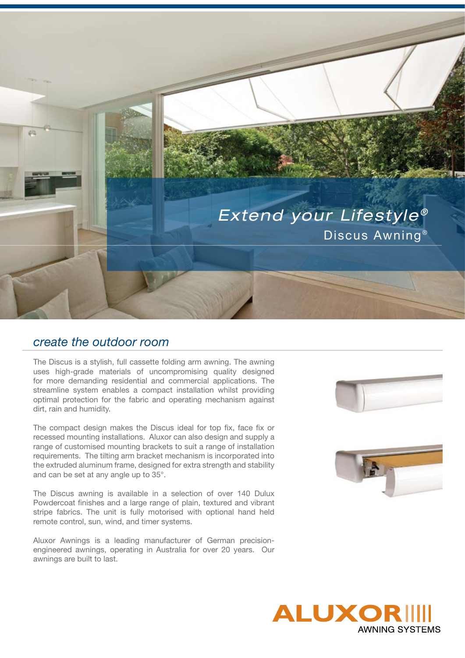

## *create the outdoor room*

The Discus is a stylish, full cassette folding arm awning. The awning uses high-grade materials of uncompromising quality designed for more demanding residential and commercial applications. The streamline system enables a compact installation whilst providing optimal protection for the fabric and operating mechanism against dirt, rain and humidity.

The compact design makes the Discus ideal for top fix, face fix or recessed mounting installations. Aluxor can also design and supply a range of customised mounting brackets to suit a range of installation requirements. The tilting arm bracket mechanism is incorporated into the extruded aluminum frame, designed for extra strength and stability and can be set at any angle up to 35°.

The Discus awning is available in a selection of over 140 Dulux Powdercoat finishes and a large range of plain, textured and vibrant stripe fabrics. The unit is fully motorised with optional hand held remote control, sun, wind, and timer systems.

Aluxor Awnings is a leading manufacturer of German precisionengineered awnings, operating in Australia for over 20 years. Our awnings are built to last.